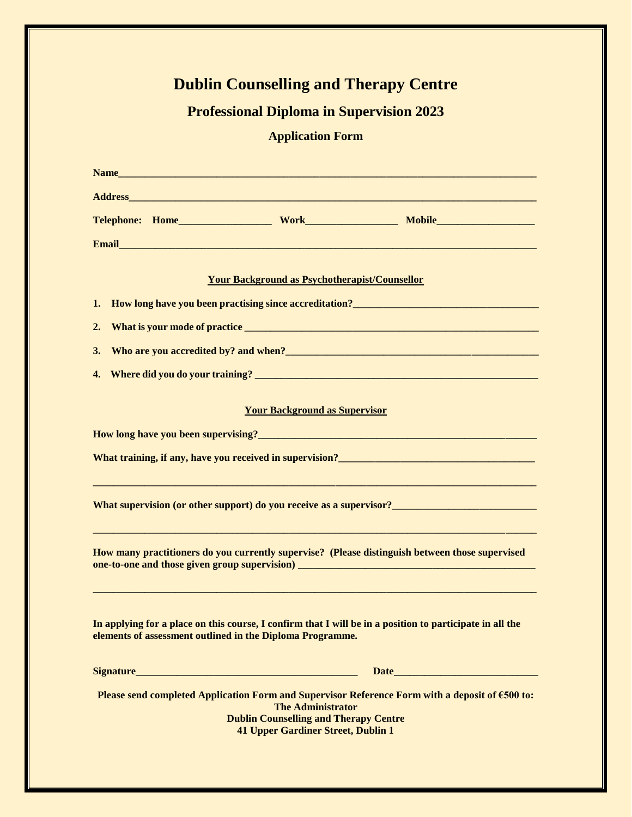# **Dublin Counselling and Therapy Centre**

## **Professional Diploma in Supervision 2023**

### **Application Form**

| Email and the contract of the contract of the contract of the contract of the contract of the contract of the contract of the contract of the contract of the contract of the contract of the contract of the contract of the |  |  |  |  |  |
|-------------------------------------------------------------------------------------------------------------------------------------------------------------------------------------------------------------------------------|--|--|--|--|--|
| <b>Your Background as Psychotherapist/Counsellor</b>                                                                                                                                                                          |  |  |  |  |  |
| How long have you been practising since accreditation?<br><u>Low long have you been practising since accreditation?</u><br>1.                                                                                                 |  |  |  |  |  |
| 2.                                                                                                                                                                                                                            |  |  |  |  |  |
| 3.                                                                                                                                                                                                                            |  |  |  |  |  |
| 4.                                                                                                                                                                                                                            |  |  |  |  |  |
| <b>Your Background as Supervisor</b>                                                                                                                                                                                          |  |  |  |  |  |
|                                                                                                                                                                                                                               |  |  |  |  |  |
|                                                                                                                                                                                                                               |  |  |  |  |  |
|                                                                                                                                                                                                                               |  |  |  |  |  |
| How many practitioners do you currently supervise? (Please distinguish between those supervised                                                                                                                               |  |  |  |  |  |
| In applying for a place on this course, I confirm that I will be in a position to participate in all the<br>elements of assessment outlined in the Diploma Programme.                                                         |  |  |  |  |  |
|                                                                                                                                                                                                                               |  |  |  |  |  |
| Please send completed Application Form and Supervisor Reference Form with a deposit of €500 to:<br><b>The Administrator</b><br><b>Dublin Counselling and Therapy Centre</b><br><b>41 Upper Gardiner Street, Dublin 1</b>      |  |  |  |  |  |